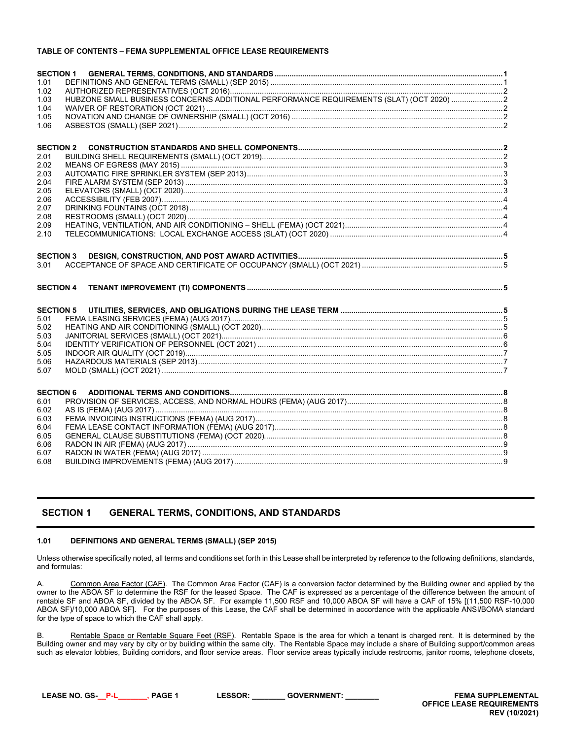## **TABLE OF CONTENTS – FEMA SUPPLEMENTAL OFFICE LEASE REQUIREMENTS**

| <b>SECTION 1</b> |                                                                                         |  |
|------------------|-----------------------------------------------------------------------------------------|--|
| 1.01             |                                                                                         |  |
| 1.02             |                                                                                         |  |
| 1.03             | HUBZONE SMALL BUSINESS CONCERNS ADDITIONAL PERFORMANCE REQUIREMENTS (SLAT) (OCT 2020) 2 |  |
|                  |                                                                                         |  |
| 1.04             |                                                                                         |  |
| 1.05             |                                                                                         |  |
| 1.06             |                                                                                         |  |
|                  |                                                                                         |  |
| <b>SECTION 2</b> |                                                                                         |  |
| 2.01             |                                                                                         |  |
| 2.02             |                                                                                         |  |
| 2.03             |                                                                                         |  |
| 2.04             |                                                                                         |  |
| 2.05             |                                                                                         |  |
| 2.06             |                                                                                         |  |
| 2.07             |                                                                                         |  |
| 2.08             |                                                                                         |  |
| 2.09             |                                                                                         |  |
| 2.10             |                                                                                         |  |
|                  |                                                                                         |  |
| <b>SECTION 3</b> |                                                                                         |  |
| 3.01             |                                                                                         |  |
|                  |                                                                                         |  |
|                  |                                                                                         |  |
| <b>SECTION 4</b> |                                                                                         |  |
|                  |                                                                                         |  |
| <b>SECTION 5</b> |                                                                                         |  |
| 5.01             |                                                                                         |  |
| 5.02             |                                                                                         |  |
| 5.03             |                                                                                         |  |
| 5.04             |                                                                                         |  |
| 5.05             |                                                                                         |  |
| 5.06             |                                                                                         |  |
|                  |                                                                                         |  |
| 5.07             |                                                                                         |  |
|                  |                                                                                         |  |
| <b>SECTION 6</b> |                                                                                         |  |
| 6.01             |                                                                                         |  |
| 6.02             |                                                                                         |  |
| 6.03             |                                                                                         |  |
| 6.04             |                                                                                         |  |
| 6.05             |                                                                                         |  |
| 6.06             |                                                                                         |  |
| 6.07             |                                                                                         |  |
|                  |                                                                                         |  |

# <span id="page-0-0"></span>**SECTION 1 GENERAL TERMS, CONDITIONS, AND STANDARDS**

### <span id="page-0-1"></span>**1.01 DEFINITIONS AND GENERAL TERMS (SMALL) (SEP 2015)**

Unless otherwise specifically noted, all terms and conditions set forth in this Lease shall be interpreted by reference to the following definitions, standards, and formulas:

A. Common Area Factor (CAF). The Common Area Factor (CAF) is a conversion factor determined by the Building owner and applied by the owner to the ABOA SF to determine the RSF for the leased Space. The CAF is expressed as a percentage of the difference between the amount of rentable SF and ABOA SF, divided by the ABOA SF. For example 11,500 RSF and 10,000 ABOA SF will have a CAF of 15% [(11,500 RSF-10,000 ABOA SF)/10,000 ABOA SF]. For the purposes of this Lease, the CAF shall be determined in accordance with the applicable ANSI**/**BOMA standard for the type of space to which the CAF shall apply.

B. Rentable Space or Rentable Square Feet (RSF). Rentable Space is the area for which a tenant is charged rent. It is determined by the Building owner and may vary by city or by building within the same city. The Rentable Space may include a share of Building support/common areas such as elevator lobbies, Building corridors, and floor service areas. Floor service areas typically include restrooms, janitor rooms, telephone closets,

**LEASE NO. GS-\_\_P-L\_\_\_\_\_\_\_, PAGE 1 LESSOR: \_\_\_\_\_\_\_\_ GOVERNMENT: \_\_\_\_\_\_\_\_ FEMA SUPPLEMENTAL** 

**OFFICE LEASE REQUIREMENTS REV (10/2021)**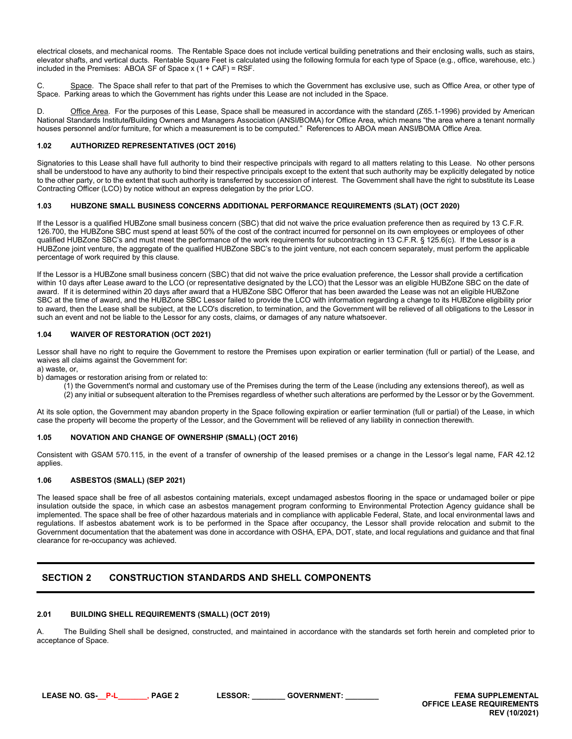electrical closets, and mechanical rooms. The Rentable Space does not include vertical building penetrations and their enclosing walls, such as stairs, elevator shafts, and vertical ducts. Rentable Square Feet is calculated using the following formula for each type of Space (e.g., office, warehouse, etc.) included in the Premises: ABOA SF of Space x (1 + CAF) = RSF.

C. Space. The Space shall refer to that part of the Premises to which the Government has exclusive use, such as Office Area, or other type of Space. Parking areas to which the Government has rights under this Lease are not included in the Space.

D. Office Area. For the purposes of this Lease, Space shall be measured in accordance with the standard (Z65.1-1996) provided by American National Standards Institute**/**Building Owners and Managers Association (ANSI**/**BOMA) for Office Area, which means "the area where a tenant normally houses personnel and/or furniture, for which a measurement is to be computed." References to ABOA mean ANSI**/**BOMA Office Area.

# <span id="page-1-0"></span>**1.02 AUTHORIZED REPRESENTATIVES (OCT 2016)**

Signatories to this Lease shall have full authority to bind their respective principals with regard to all matters relating to this Lease. No other persons shall be understood to have any authority to bind their respective principals except to the extent that such authority may be explicitly delegated by notice to the other party, or to the extent that such authority is transferred by succession of interest. The Government shall have the right to substitute its Lease Contracting Officer (LCO) by notice without an express delegation by the prior LCO.

## <span id="page-1-1"></span>**1.03 HUBZONE SMALL BUSINESS CONCERNS ADDITIONAL PERFORMANCE REQUIREMENTS (SLAT) (OCT 2020)**

If the Lessor is a qualified HUBZone small business concern (SBC) that did not waive the price evaluation preference then as required by 13 C.F.R. 126.700, the HUBZone SBC must spend at least 50% of the cost of the contract incurred for personnel on its own employees or employees of other qualified HUBZone SBC's and must meet the performance of the work requirements for subcontracting in 13 C.F.R. § 125.6(c). If the Lessor is a HUBZone joint venture, the aggregate of the qualified HUBZone SBC's to the joint venture, not each concern separately, must perform the applicable percentage of work required by this clause.

If the Lessor is a HUBZone small business concern (SBC) that did not waive the price evaluation preference, the Lessor shall provide a certification within 10 days after Lease award to the LCO (or representative designated by the LCO) that the Lessor was an eligible HUBZone SBC on the date of award. If it is determined within 20 days after award that a HUBZone SBC Offeror that has been awarded the Lease was not an eligible HUBZone SBC at the time of award, and the HUBZone SBC Lessor failed to provide the LCO with information regarding a change to its HUBZone eligibility prior to award, then the Lease shall be subject, at the LCO's discretion, to termination, and the Government will be relieved of all obligations to the Lessor in such an event and not be liable to the Lessor for any costs, claims, or damages of any nature whatsoever.

# <span id="page-1-2"></span>**1.04 WAIVER OF RESTORATION (OCT 2021)**

Lessor shall have no right to require the Government to restore the Premises upon expiration or earlier termination (full or partial) of the Lease, and waives all claims against the Government for:

a) waste, or,

b) damages or restoration arising from or related to:

- (1) the Government's normal and customary use of the Premises during the term of the Lease (including any extensions thereof), as well as
- (2) any initial or subsequent alteration to the Premises regardless of whether such alterations are performed by the Lessor or by the Government.

At its sole option, the Government may abandon property in the Space following expiration or earlier termination (full or partial) of the Lease, in which case the property will become the property of the Lessor, and the Government will be relieved of any liability in connection therewith.

### <span id="page-1-3"></span>**1.05 NOVATION AND CHANGE OF OWNERSHIP (SMALL) (OCT 2016)**

Consistent with GSAM 570.115, in the event of a transfer of ownership of the leased premises or a change in the Lessor's legal name, FAR 42.12 applies.

### <span id="page-1-4"></span>**1.06 ASBESTOS (SMALL) (SEP 2021)**

The leased space shall be free of all asbestos containing materials, except undamaged asbestos flooring in the space or undamaged boiler or pipe insulation outside the space, in which case an asbestos management program conforming to Environmental Protection Agency guidance shall be implemented. The space shall be free of other hazardous materials and in compliance with applicable Federal, State, and local environmental laws and regulations. If asbestos abatement work is to be performed in the Space after occupancy, the Lessor shall provide relocation and submit to the Government documentation that the abatement was done in accordance with OSHA, EPA, DOT, state, and local regulations and guidance and that final clearance for re-occupancy was achieved.

# <span id="page-1-5"></span>**SECTION 2 CONSTRUCTION STANDARDS AND SHELL COMPONENTS**

### <span id="page-1-6"></span>**2.01 BUILDING SHELL REQUIREMENTS (SMALL) (OCT 2019)**

A. The Building Shell shall be designed, constructed, and maintained in accordance with the standards set forth herein and completed prior to acceptance of Space.

**LEASE NO. GS-\_\_P-L\_\_\_\_\_\_\_, PAGE 2 LESSOR: \_\_\_\_\_\_\_\_ GOVERNMENT: \_\_\_\_\_\_\_\_ FEMA SUPPLEMENTAL**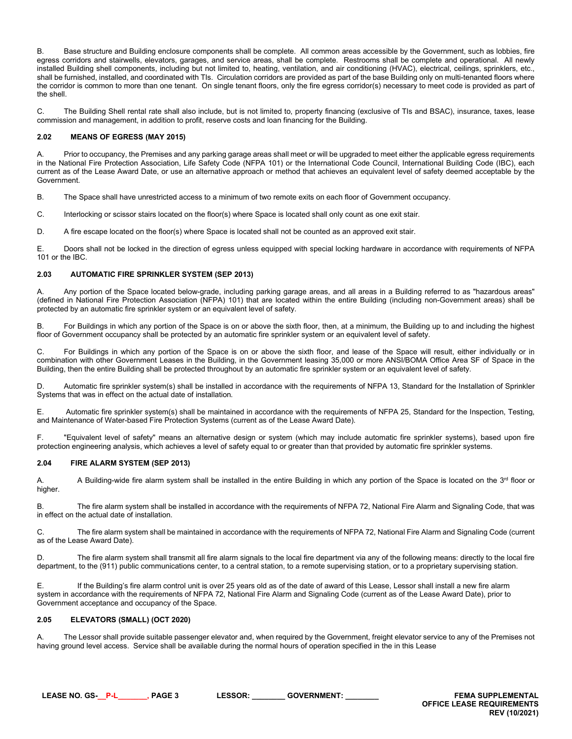B. Base structure and Building enclosure components shall be complete. All common areas accessible by the Government, such as lobbies, fire egress corridors and stairwells, elevators, garages, and service areas, shall be complete. Restrooms shall be complete and operational. All newly installed Building shell components, including but not limited to, heating, ventilation, and air conditioning (HVAC), electrical, ceilings, sprinklers, etc., shall be furnished, installed, and coordinated with TIs. Circulation corridors are provided as part of the base Building only on multi-tenanted floors where the corridor is common to more than one tenant. On single tenant floors, only the fire egress corridor(s) necessary to meet code is provided as part of the shell.

C. The Building Shell rental rate shall also include, but is not limited to, property financing (exclusive of TIs and BSAC), insurance, taxes, lease commission and management, in addition to profit, reserve costs and loan financing for the Building.

# <span id="page-2-0"></span>**2.02 MEANS OF EGRESS (MAY 2015)**

A. Prior to occupancy, the Premises and any parking garage areas shall meet or will be upgraded to meet either the applicable egress requirements in the National Fire Protection Association, Life Safety Code (NFPA 101) or the International Code Council, International Building Code (IBC), each current as of the Lease Award Date, or use an alternative approach or method that achieves an equivalent level of safety deemed acceptable by the Government.

B. The Space shall have unrestricted access to a minimum of two remote exits on each floor of Government occupancy.

C. Interlocking or scissor stairs located on the floor(s) where Space is located shall only count as one exit stair.

D. A fire escape located on the floor(s) where Space is located shall not be counted as an approved exit stair.

E. Doors shall not be locked in the direction of egress unless equipped with special locking hardware in accordance with requirements of NFPA 101 or the IBC.

## <span id="page-2-1"></span>**2.03 AUTOMATIC FIRE SPRINKLER SYSTEM (SEP 2013)**

A. Any portion of the Space located below-grade, including parking garage areas, and all areas in a Building referred to as "hazardous areas" (defined in National Fire Protection Association (NFPA) 101) that are located within the entire Building (including non-Government areas) shall be protected by an automatic fire sprinkler system or an equivalent level of safety.

B. For Buildings in which any portion of the Space is on or above the sixth floor, then, at a minimum, the Building up to and including the highest floor of Government occupancy shall be protected by an automatic fire sprinkler system or an equivalent level of safety.

C. For Buildings in which any portion of the Space is on or above the sixth floor, and lease of the Space will result, either individually or in combination with other Government Leases in the Building, in the Government leasing 35,000 or more ANSI/BOMA Office Area SF of Space in the Building, then the entire Building shall be protected throughout by an automatic fire sprinkler system or an equivalent level of safety.

D. Automatic fire sprinkler system(s) shall be installed in accordance with the requirements of NFPA 13, Standard for the Installation of Sprinkler Systems that was in effect on the actual date of installation*.*

E. Automatic fire sprinkler system(s) shall be maintained in accordance with the requirements of NFPA 25, Standard for the Inspection, Testing, and Maintenance of Water-based Fire Protection Systems (current as of the Lease Award Date).

F. "Equivalent level of safety" means an alternative design or system (which may include automatic fire sprinkler systems), based upon fire protection engineering analysis, which achieves a level of safety equal to or greater than that provided by automatic fire sprinkler systems.

### <span id="page-2-2"></span>**2.04 FIRE ALARM SYSTEM (SEP 2013)**

A. A Building-wide fire alarm system shall be installed in the entire Building in which any portion of the Space is located on the 3<sup>rd</sup> floor or higher.

B. The fire alarm system shall be installed in accordance with the requirements of NFPA 72, National Fire Alarm and Signaling Code, that was in effect on the actual date of installation.

C. The fire alarm system shall be maintained in accordance with the requirements of NFPA 72, National Fire Alarm and Signaling Code (current as of the Lease Award Date).

D. The fire alarm system shall transmit all fire alarm signals to the local fire department via any of the following means: directly to the local fire department, to the (911) public communications center, to a central station, to a remote supervising station, or to a proprietary supervising station.

E. If the Building's fire alarm control unit is over 25 years old as of the date of award of this Lease, Lessor shall install a new fire alarm system in accordance with the requirements of NFPA 72, National Fire Alarm and Signaling Code (current as of the Lease Award Date), prior to Government acceptance and occupancy of the Space.

### <span id="page-2-3"></span>**2.05 ELEVATORS (SMALL) (OCT 2020)**

A. The Lessor shall provide suitable passenger elevator and, when required by the Government, freight elevator service to any of the Premises not having ground level access. Service shall be available during the normal hours of operation specified in the in this Lease

**LEASE NO. GS-\_\_P-L\_\_\_\_\_\_\_, PAGE 3 LESSOR: \_\_\_\_\_\_\_\_ GOVERNMENT: \_\_\_\_\_\_\_\_ FEMA SUPPLEMENTAL**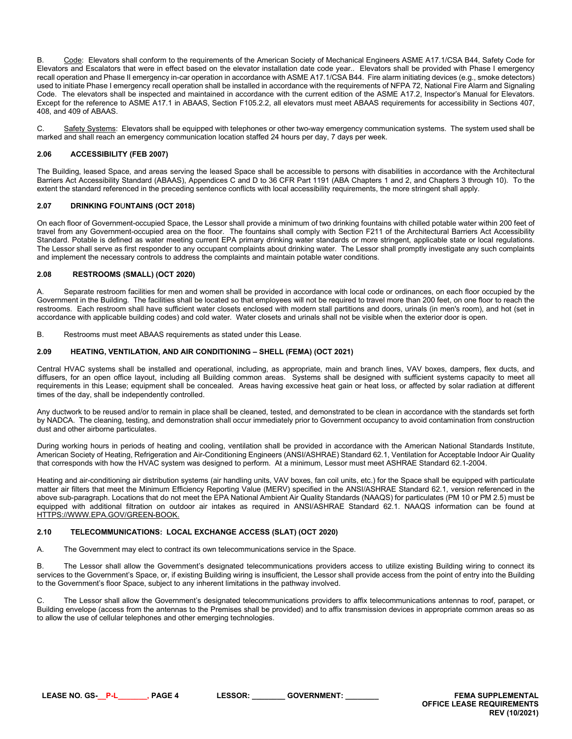B. Code: Elevators shall conform to the requirements of the American Society of Mechanical Engineers ASME A17.1/CSA B44, Safety Code for Elevators and Escalators that were in effect based on the elevator installation date code year.. Elevators shall be provided with Phase I emergency recall operation and Phase II emergency in-car operation in accordance with ASME A17.1/CSA B44. Fire alarm initiating devices (e.g., smoke detectors) used to initiate Phase I emergency recall operation shall be installed in accordance with the requirements of NFPA 72, National Fire Alarm and Signaling Code. The elevators shall be inspected and maintained in accordance with the current edition of the ASME A17.2, Inspector's Manual for Elevators. Except for the reference to ASME A17.1 in ABAAS, Section F105.2.2, all elevators must meet ABAAS requirements for accessibility in Sections 407, 408, and 409 of ABAAS.

C. Safety Systems: Elevators shall be equipped with telephones or other two-way emergency communication systems. The system used shall be marked and shall reach an emergency communication location staffed 24 hours per day, 7 days per week.

## <span id="page-3-0"></span>**2.06 ACCESSIBILITY (FEB 2007)**

The Building, leased Space, and areas serving the leased Space shall be accessible to persons with disabilities in accordance with the Architectural Barriers Act Accessibility Standard (ABAAS), Appendices C and D to 36 CFR Part 1191 (ABA Chapters 1 and 2, and Chapters 3 through 10). To the extent the standard referenced in the preceding sentence conflicts with local accessibility requirements, the more stringent shall apply.

## <span id="page-3-1"></span>**2.07 DRINKING FO**U**NTAINS (OCT 2018)**

On each floor of Government-occupied Space, the Lessor shall provide a minimum of two drinking fountains with chilled potable water within 200 feet of travel from any Government-occupied area on the floor. The fountains shall comply with Section F211 of the Architectural Barriers Act Accessibility Standard. Potable is defined as water meeting current EPA primary drinking water standards or more stringent, applicable state or local regulations. The Lessor shall serve as first responder to any occupant complaints about drinking water. The Lessor shall promptly investigate any such complaints and implement the necessary controls to address the complaints and maintain potable water conditions.

## <span id="page-3-2"></span>**2.08 RESTROOMS (SMALL) (OCT 2020)**

A. Separate restroom facilities for men and women shall be provided in accordance with local code or ordinances, on each floor occupied by the Government in the Building. The facilities shall be located so that employees will not be required to travel more than 200 feet, on one floor to reach the restrooms. Each restroom shall have sufficient water closets enclosed with modern stall partitions and doors, urinals (in men's room), and hot (set in accordance with applicable building codes) and cold water. Water closets and urinals shall not be visible when the exterior door is open.

B. Restrooms must meet ABAAS requirements as stated under this Lease.

## <span id="page-3-3"></span>**2.09 HEATING, VENTILATION, AND AIR CONDITIONING – SHELL (FEMA) (OCT 2021)**

Central HVAC systems shall be installed and operational, including, as appropriate, main and branch lines, VAV boxes, dampers, flex ducts, and diffusers, for an open office layout, including all Building common areas. Systems shall be designed with sufficient systems capacity to meet all requirements in this Lease; equipment shall be concealed. Areas having excessive heat gain or heat loss, or affected by solar radiation at different times of the day, shall be independently controlled.

Any ductwork to be reused and/or to remain in place shall be cleaned, tested, and demonstrated to be clean in accordance with the standards set forth by NADCA. The cleaning, testing, and demonstration shall occur immediately prior to Government occupancy to avoid contamination from construction dust and other airborne particulates.

During working hours in periods of heating and cooling, ventilation shall be provided in accordance with the American National Standards Institute, American Society of Heating, Refrigeration and Air-Conditioning Engineers (ANSI/ASHRAE) Standard 62.1, Ventilation for Acceptable Indoor Air Quality that corresponds with how the HVAC system was designed to perform. At a minimum, Lessor must meet ASHRAE Standard 62.1-2004.

Heating and air-conditioning air distribution systems (air handling units, VAV boxes, fan coil units, etc.) for the Space shall be equipped with particulate matter air filters that meet the Minimum Efficiency Reporting Value (MERV) specified in the ANSI/ASHRAE Standard 62.1, version referenced in the above sub-paragraph. Locations that do not meet the EPA National Ambient Air Quality Standards (NAAQS) for particulates (PM 10 or PM 2.5) must be equipped with additional filtration on outdoor air intakes as required in ANSI/ASHRAE Standard 62.1. NAAQS information can be found at [HTTPS://WWW.EPA.GOV/GREEN-BOOK.](https://www.epa.gov/green-book)

### <span id="page-3-4"></span>**2.10 TELECOMMUNICATIONS: LOCAL EXCHANGE ACCESS (SLAT) (OCT 2020)**

A. The Government may elect to contract its own telecommunications service in the Space.

B. The Lessor shall allow the Government's designated telecommunications providers access to utilize existing Building wiring to connect its services to the Government's Space, or, if existing Building wiring is insufficient, the Lessor shall provide access from the point of entry into the Building to the Government's floor Space, subject to any inherent limitations in the pathway involved.

C. The Lessor shall allow the Government's designated telecommunications providers to affix telecommunications antennas to roof, parapet, or Building envelope (access from the antennas to the Premises shall be provided) and to affix transmission devices in appropriate common areas so as to allow the use of cellular telephones and other emerging technologies.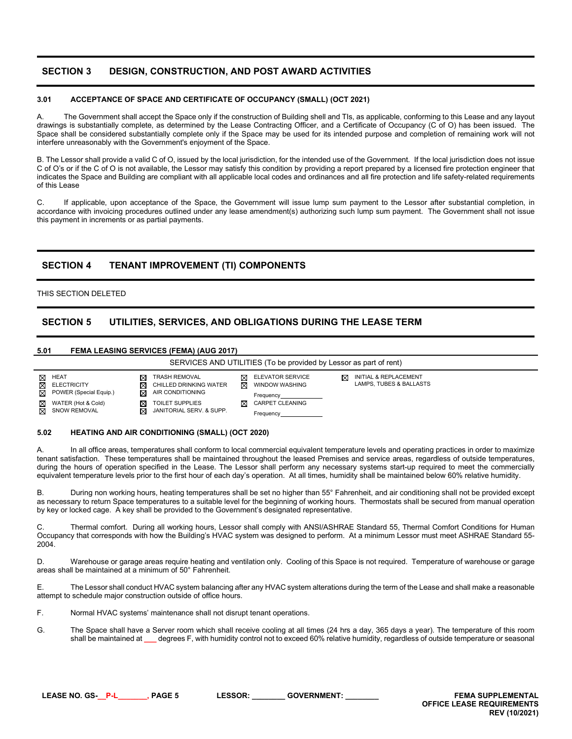# <span id="page-4-0"></span>**SECTION 3 DESIGN, CONSTRUCTION, AND POST AWARD ACTIVITIES**

### <span id="page-4-1"></span>**3.01 ACCEPTANCE OF SPACE AND CERTIFICATE OF OCCUPANCY (SMALL) (OCT 2021)**

A. The Government shall accept the Space only if the construction of Building shell and TIs, as applicable, conforming to this Lease and any layout drawings is substantially complete, as determined by the Lease Contracting Officer, and a Certificate of Occupancy (C of O) has been issued. The Space shall be considered substantially complete only if the Space may be used for its intended purpose and completion of remaining work will not interfere unreasonably with the Government's enjoyment of the Space.

B. The Lessor shall provide a valid C of O, issued by the local jurisdiction, for the intended use of the Government. If the local jurisdiction does not issue C of O's or if the C of O is not available, the Lessor may satisfy this condition by providing a report prepared by a licensed fire protection engineer that indicates the Space and Building are compliant with all applicable local codes and ordinances and all fire protection and life safety-related requirements of this Lease

C. If applicable, upon acceptance of the Space, the Government will issue lump sum payment to the Lessor after substantial completion, in accordance with invoicing procedures outlined under any lease amendment(s) authorizing such lump sum payment. The Government shall not issue this payment in increments or as partial payments.

# <span id="page-4-2"></span>**SECTION 4 TENANT IMPROVEMENT (TI) COMPONENTS**

# THIS SECTION DELETED

# <span id="page-4-3"></span>**SECTION 5 UTILITIES, SERVICES, AND OBLIGATIONS DURING THE LEASE TERM**

### <span id="page-4-4"></span>**5.01 FEMA LEASING SERVICES (FEMA) (AUG 2017)**



#### <span id="page-4-5"></span>**5.02 HEATING AND AIR CONDITIONING (SMALL) (OCT 2020)**

A. In all office areas, temperatures shall conform to local commercial equivalent temperature levels and operating practices in order to maximize tenant satisfaction. These temperatures shall be maintained throughout the leased Premises and service areas, regardless of outside temperatures, during the hours of operation specified in the Lease. The Lessor shall perform any necessary systems start-up required to meet the commercially equivalent temperature levels prior to the first hour of each day's operation. At all times, humidity shall be maintained below 60% relative humidity.

B. During non working hours, heating temperatures shall be set no higher than 55° Fahrenheit, and air conditioning shall not be provided except as necessary to return Space temperatures to a suitable level for the beginning of working hours. Thermostats shall be secured from manual operation by key or locked cage. A key shall be provided to the Government's designated representative.

Thermal comfort. During all working hours, Lessor shall comply with ANSI/ASHRAE Standard 55, Thermal Comfort Conditions for Human Occupancy that corresponds with how the Building's HVAC system was designed to perform. At a minimum Lessor must meet ASHRAE Standard 55- 2004.

D. Warehouse or garage areas require heating and ventilation only. Cooling of this Space is not required. Temperature of warehouse or garage areas shall be maintained at a minimum of 50° Fahrenheit.

E. The Lessor shall conduct HVAC system balancing after any HVAC system alterations during the term of the Lease and shall make a reasonable attempt to schedule major construction outside of office hours.

F. Normal HVAC systems' maintenance shall not disrupt tenant operations.

G. The Space shall have a Server room which shall receive cooling at all times (24 hrs a day, 365 days a year). The temperature of this room shall be maintained at **\_\_\_** degrees F, with humidity control not to exceed 60% relative humidity, regardless of outside temperature or seasonal

**LEASE NO. GS-\_\_P-L\_\_\_\_\_\_\_, PAGE 5 LESSOR: \_\_\_\_\_\_\_\_ GOVERNMENT: \_\_\_\_\_\_\_\_ FEMA SUPPLEMENTAL OFFICE LEASE REQUIREMENTS REV (10/2021)**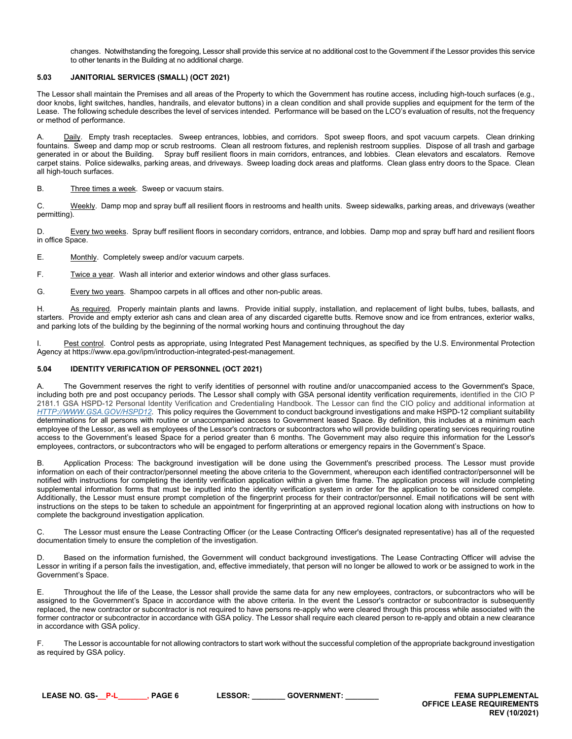changes. Notwithstanding the foregoing, Lessor shall provide this service at no additional cost to the Government if the Lessor provides this service to other tenants in the Building at no additional charge.

# <span id="page-5-0"></span>**5.03 JANITORIAL SERVICES (SMALL) (OCT 2021)**

The Lessor shall maintain the Premises and all areas of the Property to which the Government has routine access, including high-touch surfaces (e.g., door knobs, light switches, handles, handrails, and elevator buttons) in a clean condition and shall provide supplies and equipment for the term of the Lease. The following schedule describes the level of services intended. Performance will be based on the LCO's evaluation of results, not the frequency or method of performance.

Daily. Empty trash receptacles. Sweep entrances, lobbies, and corridors. Spot sweep floors, and spot vacuum carpets. Clean drinking fountains. Sweep and damp mop or scrub restrooms. Clean all restroom fixtures, and replenish restroom supplies. Dispose of all trash and garbage generated in or about the Building. Spray buff resilient floors in main corri Spray buff resilient floors in main corridors, entrances, and lobbies. Clean elevators and escalators. Remove carpet stains. Police sidewalks, parking areas, and driveways. Sweep loading dock areas and platforms. Clean glass entry doors to the Space. Clean all high-touch surfaces.

B. Three times a week. Sweep or vacuum stairs.

C. Weekly. Damp mop and spray buff all resilient floors in restrooms and health units. Sweep sidewalks, parking areas, and driveways (weather permitting).

D. Every two weeks. Spray buff resilient floors in secondary corridors, entrance, and lobbies. Damp mop and spray buff hard and resilient floors in office Space.

E. Monthly. Completely sweep and/or vacuum carpets.

F. Twice a year. Wash all interior and exterior windows and other glass surfaces.

G. Every two years. Shampoo carpets in all offices and other non-public areas.

H. As required. Properly maintain plants and lawns. Provide initial supply, installation, and replacement of light bulbs, tubes, ballasts, and starters. Provide and empty exterior ash cans and clean area of any discarded cigarette butts. Remove snow and ice from entrances, exterior walks, and parking lots of the building by the beginning of the normal working hours and continuing throughout the day

I. Pest control. Control pests as appropriate, using Integrated Pest Management techniques, as specified by the U.S. Environmental Protection Agency at https://www.epa.gov/ipm/introduction-integrated-pest-management.

### <span id="page-5-1"></span>**5.04 IDENTITY VERIFICATION OF PERSONNEL (OCT 2021)**

A. The Government reserves the right to verify identities of personnel with routine and/or unaccompanied access to the Government's Space, including both pre and post occupancy periods. The Lessor shall comply with GSA personal identity verification requirements, identified in the CIO P 2181.1 GSA HSPD-12 Personal Identity Verification and Credentialing Handbook. The Lessor can find the CIO policy and additional information at *[HTTP://WWW.GSA.GOV/HSPD12](http://www.gsa.gov/hspd12)*. This policy requires the Government to conduct background investigations and make HSPD-12 compliant suitability determinations for all persons with routine or unaccompanied access to Government leased Space. By definition, this includes at a minimum each employee of the Lessor, as well as employees of the Lessor's contractors or subcontractors who will provide building operating services requiring routine access to the Government's leased Space for a period greater than 6 months. The Government may also require this information for the Lessor's employees, contractors, or subcontractors who will be engaged to perform alterations or emergency repairs in the Government's Space.

B. Application Process: The background investigation will be done using the Government's prescribed process. The Lessor must provide information on each of their contractor/personnel meeting the above criteria to the Government, whereupon each identified contractor/personnel will be notified with instructions for completing the identity verification application within a given time frame. The application process will include completing supplemental information forms that must be inputted into the identity verification system in order for the application to be considered complete. Additionally, the Lessor must ensure prompt completion of the fingerprint process for their contractor/personnel. Email notifications will be sent with instructions on the steps to be taken to schedule an appointment for fingerprinting at an approved regional location along with instructions on how to complete the background investigation application.

C. The Lessor must ensure the Lease Contracting Officer (or the Lease Contracting Officer's designated representative) has all of the requested documentation timely to ensure the completion of the investigation.

D. Based on the information furnished, the Government will conduct background investigations. The Lease Contracting Officer will advise the Lessor in writing if a person fails the investigation, and, effective immediately, that person will no longer be allowed to work or be assigned to work in the Government's Space.

E. Throughout the life of the Lease, the Lessor shall provide the same data for any new employees, contractors, or subcontractors who will be assigned to the Government's Space in accordance with the above criteria. In the event the Lessor's contractor or subcontractor is subsequently replaced, the new contractor or subcontractor is not required to have persons re-apply who were cleared through this process while associated with the former contractor or subcontractor in accordance with GSA policy. The Lessor shall require each cleared person to re-apply and obtain a new clearance in accordance with GSA policy.

F. The Lessor is accountable for not allowing contractors to start work without the successful completion of the appropriate background investigation as required by GSA policy.

**LEASE NO. GS-\_\_P-L\_\_\_\_\_\_\_, PAGE 6 LESSOR: \_\_\_\_\_\_\_\_ GOVERNMENT: \_\_\_\_\_\_\_\_ FEMA SUPPLEMENTAL**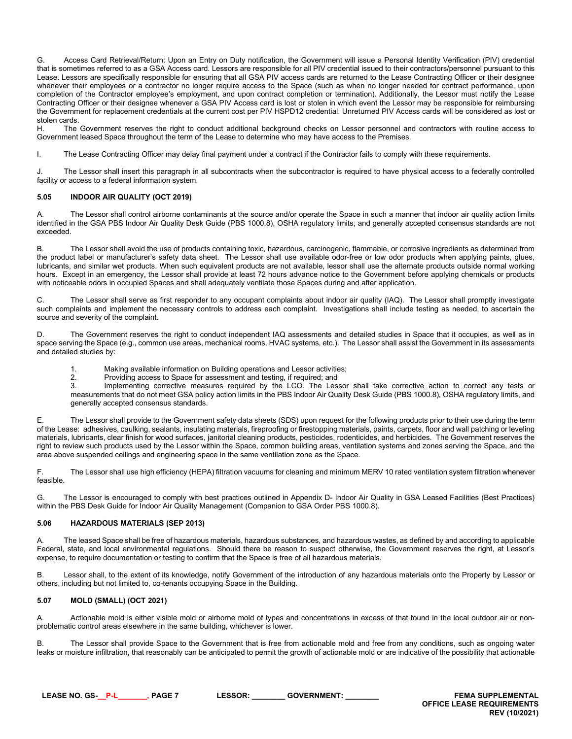G. Access Card Retrieval/Return: Upon an Entry on Duty notification, the Government will issue a Personal Identity Verification (PIV) credential that is sometimes referred to as a GSA Access card. Lessors are responsible for all PIV credential issued to their contractors/personnel pursuant to this Lease. Lessors are specifically responsible for ensuring that all GSA PIV access cards are returned to the Lease Contracting Officer or their designee whenever their employees or a contractor no longer require access to the Space (such as when no longer needed for contract performance, upon completion of the Contractor employee's employment, and upon contract completion or termination). Additionally, the Lessor must notify the Lease Contracting Officer or their designee whenever a GSA PIV Access card is lost or stolen in which event the Lessor may be responsible for reimbursing the Government for replacement credentials at the current cost per PIV HSPD12 credential. Unreturned PIV Access cards will be considered as lost or stolen cards.

H. The Government reserves the right to conduct additional background checks on Lessor personnel and contractors with routine access to Government leased Space throughout the term of the Lease to determine who may have access to the Premises.

I. The Lease Contracting Officer may delay final payment under a contract if the Contractor fails to comply with these requirements.

J. The Lessor shall insert this paragraph in all subcontracts when the subcontractor is required to have physical access to a federally controlled facility or access to a federal information system.

## <span id="page-6-0"></span>**5.05 INDOOR AIR QUALITY (OCT 2019)**

A. The Lessor shall control airborne contaminants at the source and/or operate the Space in such a manner that indoor air quality action limits identified in the GSA PBS Indoor Air Quality Desk Guide (PBS 1000.8), OSHA regulatory limits, and generally accepted consensus standards are not exceeded.

B. The Lessor shall avoid the use of products containing toxic, hazardous, carcinogenic, flammable, or corrosive ingredients as determined from the product label or manufacturer's safety data sheet. The Lessor shall use available odor-free or low odor products when applying paints, glues, lubricants, and similar wet products. When such equivalent products are not available, lessor shall use the alternate products outside normal working hours. Except in an emergency, the Lessor shall provide at least 72 hours advance notice to the Government before applying chemicals or products with noticeable odors in occupied Spaces and shall adequately ventilate those Spaces during and after application.

C. The Lessor shall serve as first responder to any occupant complaints about indoor air quality (IAQ). The Lessor shall promptly investigate such complaints and implement the necessary controls to address each complaint. Investigations shall include testing as needed, to ascertain the source and severity of the complaint.

The Government reserves the right to conduct independent IAQ assessments and detailed studies in Space that it occupies, as well as in space serving the Space (e.g., common use areas, mechanical rooms, HVAC systems, etc.). The Lessor shall assist the Government in its assessments and detailed studies by:

1. Making available information on Building operations and Lessor activities;

2. Providing access to Space for assessment and testing, if required; and<br>3 **by Implementing corrective measures** required by the LCO. The Less

Implementing corrective measures required by the LCO. The Lessor shall take corrective action to correct any tests or measurements that do not meet GSA policy action limits in the PBS Indoor Air Quality Desk Guide (PBS 1000.8), OSHA regulatory limits, and generally accepted consensus standards.

E. The Lessor shall provide to the Government safety data sheets (SDS) upon request for the following products prior to their use during the term of the Lease: adhesives, caulking, sealants, insulating materials, fireproofing or firestopping materials, paints, carpets, floor and wall patching or leveling materials, lubricants, clear finish for wood surfaces, janitorial cleaning products, pesticides, rodenticides, and herbicides. The Government reserves the right to review such products used by the Lessor within the Space, common building areas, ventilation systems and zones serving the Space, and the area above suspended ceilings and engineering space in the same ventilation zone as the Space.

F. The Lessor shall use high efficiency (HEPA) filtration vacuums for cleaning and minimum MERV 10 rated ventilation system filtration whenever feasible.

G. The Lessor is encouraged to comply with best practices outlined in Appendix D- Indoor Air Quality in GSA Leased Facilities (Best Practices) within the PBS Desk Guide for Indoor Air Quality Management (Companion to GSA Order PBS 1000.8).

# <span id="page-6-1"></span>**5.06 HAZARDOUS MATERIALS (SEP 2013)**

A. The leased Space shall be free of hazardous materials, hazardous substances, and hazardous wastes, as defined by and according to applicable Federal, state, and local environmental regulations. Should there be reason to suspect otherwise, the Government reserves the right, at Lessor's expense, to require documentation or testing to confirm that the Space is free of all hazardous materials.

B. Lessor shall, to the extent of its knowledge, notify Government of the introduction of any hazardous materials onto the Property by Lessor or others, including but not limited to, co-tenants occupying Space in the Building.

# <span id="page-6-2"></span>**5.07 MOLD (SMALL) (OCT 2021)**

A. Actionable mold is either visible mold or airborne mold of types and concentrations in excess of that found in the local outdoor air or nonproblematic control areas elsewhere in the same building, whichever is lower.

B. The Lessor shall provide Space to the Government that is free from actionable mold and free from any conditions, such as ongoing water leaks or moisture infiltration, that reasonably can be anticipated to permit the growth of actionable mold or are indicative of the possibility that actionable

**LEASE NO. GS-\_\_P-L\_\_\_\_\_\_\_, PAGE 7 LESSOR: \_\_\_\_\_\_\_\_ GOVERNMENT: \_\_\_\_\_\_\_\_ FEMA SUPPLEMENTAL**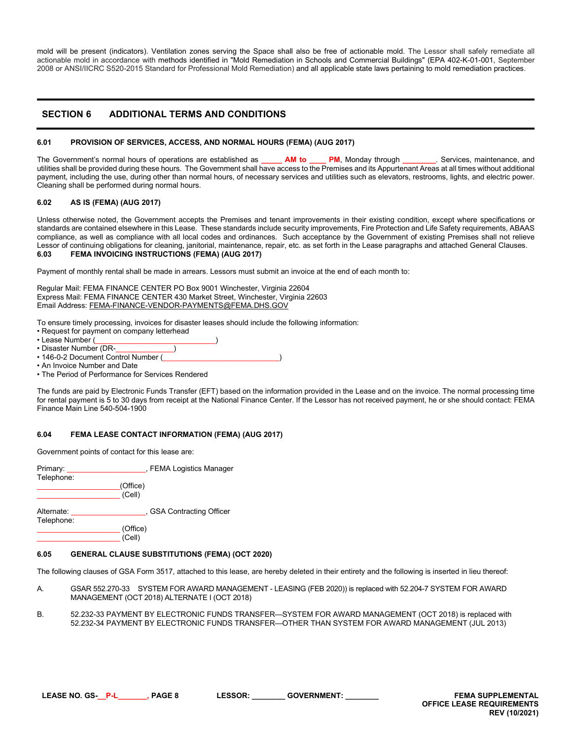mold will be present (indicators). Ventilation zones serving the Space shall also be free of actionable mold. The Lessor shall safely remediate all actionable mold in accordance with methods identified in "Mold Remediation in Schools and Commercial Buildings" (EPA 402-K-01-001, September 2008 or ANSI/IICRC S520-2015 Standard for Professional Mold Remediation) and all applicable state laws pertaining to mold remediation practices.

# <span id="page-7-0"></span>**SECTION 6 ADDITIONAL TERMS AND CONDITIONS**

### <span id="page-7-1"></span>**6.01 PROVISION OF SERVICES, ACCESS, AND NORMAL HOURS (FEMA) (AUG 2017)**

The Government's normal hours of operations are established as **\_\_\_\_\_ AM to \_\_\_\_ PM**, Monday through **\_\_\_\_\_\_\_\_**. Services, maintenance, and utilities shall be provided during these hours. The Government shall have access to the Premises and its Appurtenant Areas at all times without additional payment, including the use, during other than normal hours, of necessary services and utilities such as elevators, restrooms, lights, and electric power. Cleaning shall be performed during normal hours.

## <span id="page-7-2"></span>**6.02 AS IS (FEMA) (AUG 2017)**

Unless otherwise noted, the Government accepts the Premises and tenant improvements in their existing condition, except where specifications or standards are contained elsewhere in this Lease. These standards include security improvements, Fire Protection and Life Safety requirements, ABAAS compliance, as well as compliance with all local codes and ordinances. Such acceptance by the Government of existing Premises shall not relieve Lessor of continuing obligations for cleaning, janitorial, maintenance, repair, etc. as set forth in the Lease paragraphs and attached General Clauses. **6.03 FEMA INVOICING INSTRUCTIONS (FEMA) (AUG 2017)**

<span id="page-7-3"></span>Payment of monthly rental shall be made in arrears. Lessors must submit an invoice at the end of each month to:

Regular Mail: FEMA FINANCE CENTER PO Box 9001 Winchester, Virginia 22604 Express Mail: FEMA FINANCE CENTER 430 Market Street, Winchester, Virginia 22603 Email Address: FEMA-FINANCE-VENDOR-PAYMENTS@FEMA.DHS.GOV

To ensure timely processing, invoices for disaster leases should include the following information:

- Request for payment on company letterhead
- Lease Number (
- Disaster Number (DR-
- 146-0-2 Document Control Number (
- An Invoice Number and Date
- The Period of Performance for Services Rendered

The funds are paid by Electronic Funds Transfer (EFT) based on the information provided in the Lease and on the invoice. The normal processing time for rental payment is 5 to 30 days from receipt at the National Finance Center. If the Lessor has not received payment, he or she should contact: FEMA Finance Main Line 540-504-1900

### <span id="page-7-4"></span>**6.04 FEMA LEASE CONTACT INFORMATION (FEMA) (AUG 2017)**

Government points of contact for this lease are:

| Primary:<br>Telephone: | , FEMA Logistics Manager  |  |
|------------------------|---------------------------|--|
|                        | (Office)<br>(Cell)        |  |
| Alternate:             | , GSA Contracting Officer |  |

Telephone: \_\_\_\_\_\_\_\_\_\_\_\_\_\_\_\_\_\_\_\_ (Office) \_\_\_\_\_\_\_\_\_\_\_\_\_\_\_\_\_\_\_\_ (Cell)

### <span id="page-7-5"></span>**6.05 GENERAL CLAUSE SUBSTITUTIONS (FEMA) (OCT 2020)**

The following clauses of GSA Form 3517, attached to this lease, are hereby deleted in their entirety and the following is inserted in lieu thereof:

- A. GSAR 552.270-33 SYSTEM FOR AWARD MANAGEMENT LEASING (FEB 2020)) is replaced with 52.204-7 SYSTEM FOR AWARD MANAGEMENT (OCT 2018) ALTERNATE I (OCT 2018)
- B. 52.232-33 PAYMENT BY ELECTRONIC FUNDS TRANSFER—SYSTEM FOR AWARD MANAGEMENT (OCT 2018) is replaced with 52.232-34 PAYMENT BY ELECTRONIC FUNDS TRANSFER—OTHER THAN SYSTEM FOR AWARD MANAGEMENT (JUL 2013)